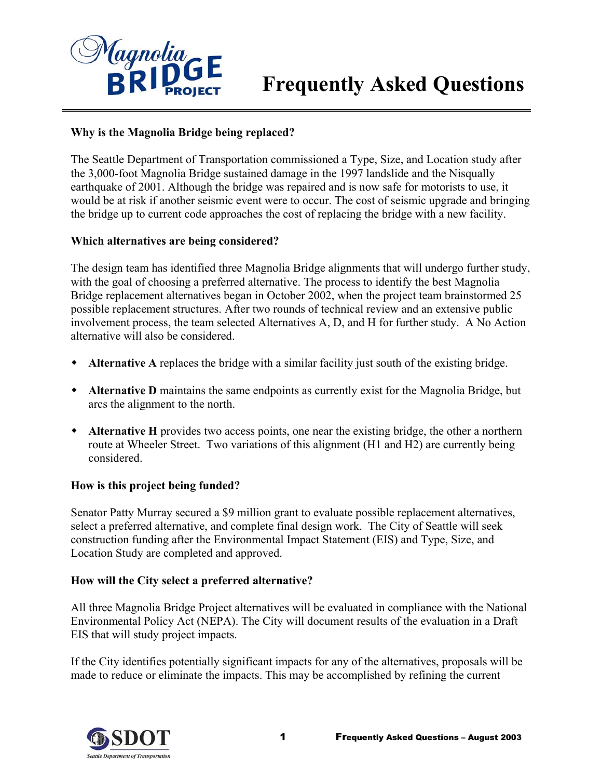

# **Frequently Asked Questions**

# **Why is the Magnolia Bridge being replaced?**

The Seattle Department of Transportation commissioned a Type, Size, and Location study after the 3,000-foot Magnolia Bridge sustained damage in the 1997 landslide and the Nisqually earthquake of 2001. Although the bridge was repaired and is now safe for motorists to use, it would be at risk if another seismic event were to occur. The cost of seismic upgrade and bringing the bridge up to current code approaches the cost of replacing the bridge with a new facility.

### **Which alternatives are being considered?**

The design team has identified three Magnolia Bridge alignments that will undergo further study, with the goal of choosing a preferred alternative. The process to identify the best Magnolia Bridge replacement alternatives began in October 2002, when the project team brainstormed 25 possible replacement structures. After two rounds of technical review and an extensive public involvement process, the team selected Alternatives A, D, and H for further study. A No Action alternative will also be considered.

- **Alternative A** replaces the bridge with a similar facility just south of the existing bridge.
- **Alternative D** maintains the same endpoints as currently exist for the Magnolia Bridge, but arcs the alignment to the north.
- **Alternative H** provides two access points, one near the existing bridge, the other a northern route at Wheeler Street. Two variations of this alignment (H1 and H2) are currently being considered.

#### **How is this project being funded?**

Senator Patty Murray secured a \$9 million grant to evaluate possible replacement alternatives, select a preferred alternative, and complete final design work. The City of Seattle will seek construction funding after the Environmental Impact Statement (EIS) and Type, Size, and Location Study are completed and approved.

#### **How will the City select a preferred alternative?**

All three Magnolia Bridge Project alternatives will be evaluated in compliance with the National Environmental Policy Act (NEPA). The City will document results of the evaluation in a Draft EIS that will study project impacts.

If the City identifies potentially significant impacts for any of the alternatives, proposals will be made to reduce or eliminate the impacts. This may be accomplished by refining the current